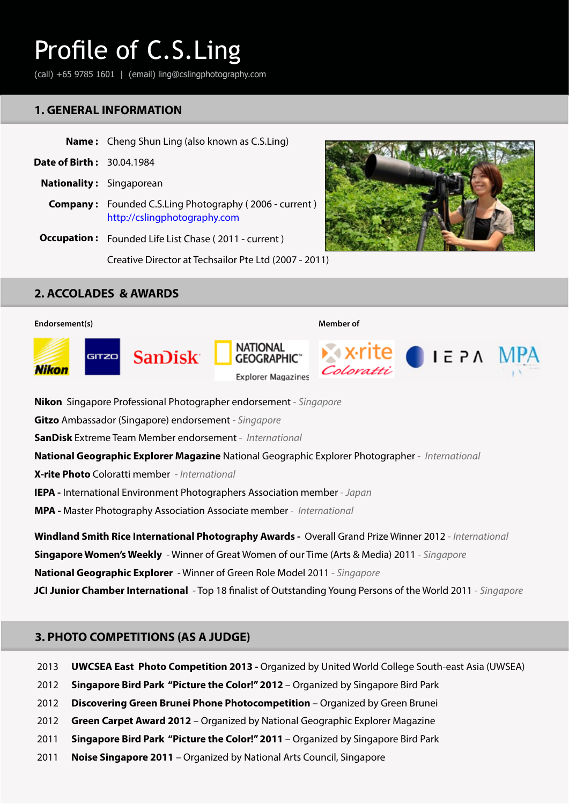(call) +65 9785 1601 | (email) ling@cslingphotography.com

## **1. GENERAL INFORMATION**

|                                  | <b>Name:</b> Cheng Shun Ling (also known as C.S.Ling)                                         |  |
|----------------------------------|-----------------------------------------------------------------------------------------------|--|
| <b>Date of Birth: 30.04.1984</b> |                                                                                               |  |
|                                  | <b>Nationality:</b> Singaporean                                                               |  |
|                                  | <b>Company:</b> Founded C.S.Ling Photography (2006 - current)<br>http://cslingphotography.com |  |
|                                  | <b>Occupation:</b> Founded Life List Chase (2011 - current)                                   |  |
|                                  | Creative Director at Techsailor Pte Ltd (2007 - 2011)                                         |  |



# **2. ACCOLADES & AWARDS**



**Nikon** Singapore Professional Photographer endorsement - *Singapore*

**Gitzo** Ambassador (Singapore) endorsement - *Singapore*

**SanDisk** Extreme Team Member endorsement - *International*

**National Geographic Explorer Magazine** National Geographic Explorer Photographer - *International*

**X-rite Photo** Coloratti member - *International*

**IEPA -** International Environment Photographers Association member - *Japan*

**MPA -** Master Photography Association Associate member - *International*

**Windland Smith Rice International Photography Awards -** Overall Grand Prize Winner 2012 - *International* **Singapore Women's Weekly** - Winner of Great Women of our Time (Arts & Media) 2011 - *Singapore* **National Geographic Explorer** - Winner of Green Role Model 2011 - *Singapore* **JCI Junior Chamber International** - Top 18 finalist of Outstanding Young Persons of the World 2011 - *Singapore*

### **3. PHOTO COMPETITIONS (AS A JUDGE)**

- 2013 **UWCSEA East Photo Competition 2013 -** Organized by United World College South-east Asia (UWSEA)
- 2012 **Singapore Bird Park "Picture the Color!" 2012** – Organized by Singapore Bird Park
- 2012 **Discovering Green Brunei Phone Photocompetition** – Organized by Green Brunei
- 2012 **Green Carpet Award 2012** – Organized by National Geographic Explorer Magazine
- 2011 **Singapore Bird Park "Picture the Color!" 2011** – Organized by Singapore Bird Park
- 2011 **Noise Singapore 2011** – Organized by National Arts Council, Singapore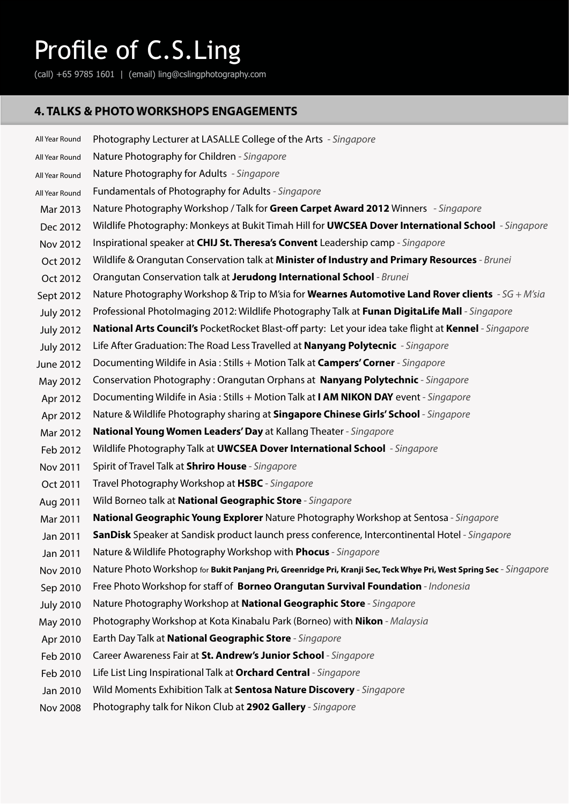(call) +65 9785 1601 | (email) ling@cslingphotography.com

# **4. TALKS & PHOTO WORKSHOPS ENGAGEMENTS**

| All Year Round   | Photography Lecturer at LASALLE College of the Arts - Singapore                                                     |
|------------------|---------------------------------------------------------------------------------------------------------------------|
| All Year Round   | Nature Photography for Children - Singapore                                                                         |
| All Year Round   | Nature Photography for Adults - Singapore                                                                           |
| All Year Round   | Fundamentals of Photography for Adults - Singapore                                                                  |
| Mar 2013         | Nature Photography Workshop / Talk for Green Carpet Award 2012 Winners - Singapore                                  |
| Dec 2012         | Wildlife Photography: Monkeys at Bukit Timah Hill for <b>UWCSEA Dover International School</b> - Singapore          |
| Nov 2012         | Inspirational speaker at CHIJ St. Theresa's Convent Leadership camp - Singapore                                     |
| Oct 2012         | Wildlife & Orangutan Conservation talk at Minister of Industry and Primary Resources - Brunei                       |
| Oct 2012         | Orangutan Conservation talk at Jerudong International School - Brunei                                               |
| Sept 2012        | Nature Photography Workshop & Trip to M'sia for <b>Wearnes Automotive Land Rover clients</b> - SG + M'sia           |
| <b>July 2012</b> | Professional Photolmaging 2012: Wildlife Photography Talk at Funan DigitaLife Mall - Singapore                      |
| <b>July 2012</b> | National Arts Council's PocketRocket Blast-off party: Let your idea take flight at Kennel - Singapore               |
| <b>July 2012</b> | Life After Graduation: The Road Less Travelled at <b>Nanyang Polytecnic</b> - Singapore                             |
| June 2012        | Documenting Wildife in Asia: Stills + Motion Talk at <b>Campers' Corner</b> - Singapore                             |
| May 2012         | Conservation Photography: Orangutan Orphans at Nanyang Polytechnic - Singapore                                      |
| Apr 2012         | Documenting Wildife in Asia: Stills + Motion Talk at I AM NIKON DAY event - Singapore                               |
| Apr 2012         | Nature & Wildlife Photography sharing at Singapore Chinese Girls' School - Singapore                                |
| Mar 2012         | National Young Women Leaders' Day at Kallang Theater - Singapore                                                    |
| Feb 2012         | Wildlife Photography Talk at UWCSEA Dover International School - Singapore                                          |
| Nov 2011         | Spirit of Travel Talk at Shriro House - Singapore                                                                   |
| Oct 2011         | Travel Photography Workshop at HSBC - Singapore                                                                     |
| Aug 2011         | Wild Borneo talk at National Geographic Store - Singapore                                                           |
| Mar 2011         | National Geographic Young Explorer Nature Photography Workshop at Sentosa - Singapore                               |
| Jan 2011         | <b>SanDisk</b> Speaker at Sandisk product launch press conference, Intercontinental Hotel - Singapore               |
| Jan 2011         | Nature & Wildlife Photography Workshop with Phocus - Singapore                                                      |
| Nov 2010         | Nature Photo Workshop for Bukit Panjang Pri, Greenridge Pri, Kranji Sec, Teck Whye Pri, West Spring Sec - Singapore |
| Sep 2010         | Free Photo Workshop for staff of Borneo Orangutan Survival Foundation - Indonesia                                   |
| <b>July 2010</b> | Nature Photography Workshop at National Geographic Store - Singapore                                                |
| May 2010         | Photography Workshop at Kota Kinabalu Park (Borneo) with <b>Nikon</b> - Malaysia                                    |
| Apr 2010         | Earth Day Talk at National Geographic Store - Singapore                                                             |
| Feb 2010         | Career Awareness Fair at St. Andrew's Junior School - Singapore                                                     |
| Feb 2010         | Life List Ling Inspirational Talk at Orchard Central - Singapore                                                    |
| Jan 2010         | Wild Moments Exhibition Talk at Sentosa Nature Discovery - Singapore                                                |
| <b>Nov 2008</b>  | Photography talk for Nikon Club at 2902 Gallery - Singapore                                                         |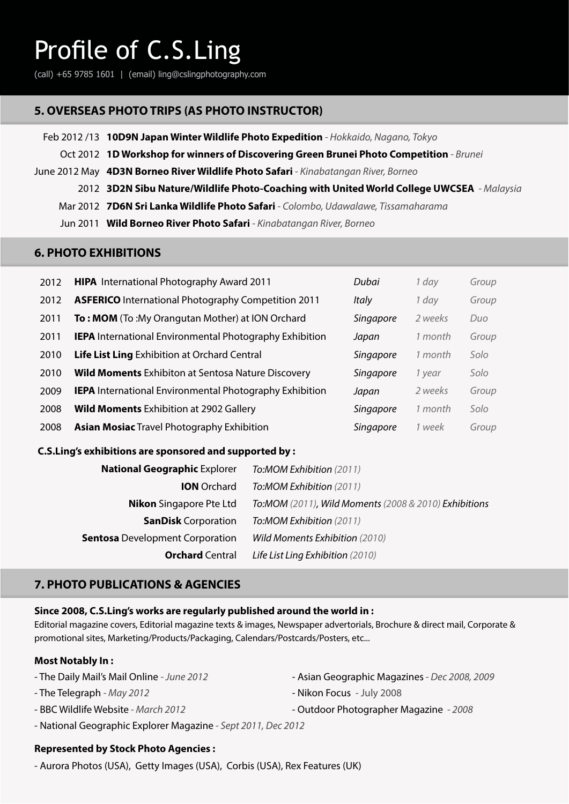(call) +65 9785 1601 | (email) ling@cslingphotography.com

## **5. OVERSEAS PHOTO TRIPS (AS PHOTO INSTRUCTOR)**

- Feb 2012 /13 **10D9N Japan Winter Wildlife Photo Expedition**  *Hokkaido, Nagano, Tokyo* 
	- Oct 2012 **1D Workshop for winners of Discovering Green Brunei Photo Competition**  *Brunei*
- June 2012 May **4D3N Borneo River Wildlife Photo Safari**  *Kinabatangan River, Borneo*
	- 2012 **3D2N Sibu Nature/Wildlife Photo-Coaching with United World College UWCSEA**  *Malaysia*
	- Mar 2012 **7D6N Sri Lanka Wildlife Photo Safari**  *Colombo, Udawalawe, Tissamaharama*
	- Jun 2011 **Wild Borneo River Photo Safari**  *Kinabatangan River, Borneo*

### **6. PHOTO EXHIBITIONS**

| 2012 | <b>HIPA</b> International Photography Award 2011               | Dubai     | 1 day   | Group |
|------|----------------------------------------------------------------|-----------|---------|-------|
| 2012 | <b>ASFERICO</b> International Photography Competition 2011     | Italy     | 1 day   | Group |
| 2011 | <b>To: MOM</b> (To: My Orangutan Mother) at ION Orchard        | Singapore | 2 weeks | Duo   |
| 2011 | <b>IEPA</b> International Environmental Photography Exhibition | Japan     | 1 month | Group |
| 2010 | Life List Ling Exhibition at Orchard Central                   | Singapore | 1 month | Solo  |
| 2010 | <b>Wild Moments</b> Exhibiton at Sentosa Nature Discovery      | Singapore | 1 year  | Solo  |
| 2009 | <b>IEPA</b> International Environmental Photography Exhibition | Japan     | 2 weeks | Group |
| 2008 | <b>Wild Moments Exhibition at 2902 Gallery</b>                 | Singapore | 1 month | Solo  |
| 2008 | <b>Asian Mosiac Travel Photography Exhibition</b>              | Singapore | 1 week  | Group |

#### **C.S.Ling's exhibitions are sponsored and supported by :**

| To:MOM Exhibition (2011)                              |
|-------------------------------------------------------|
| To:MOM Exhibition (2011)                              |
| To:MOM (2011), Wild Moments (2008 & 2010) Exhibitions |
| To:MOM Exhibition (2011)                              |
| Wild Moments Exhibition (2010)                        |
| Life List Ling Exhibition (2010)                      |
|                                                       |

### **7. PHOTO PUBLICATIONS & AGENCIES**

#### **Since 2008, C.S.Ling's works are regularly published around the world in :**

Editorial magazine covers, Editorial magazine texts & images, Newspaper advertorials, Brochure & direct mail, Corporate & promotional sites, Marketing/Products/Packaging, Calendars/Postcards/Posters, etc...

#### **Most Notably In :**

- The Daily Mail's Mail Online  *June 2012*
- The Telegraph  *May 2012*
- BBC Wildlife Website *March 2012*
- Asian Geographic Magazines *Dec 2008, 2009*
- Nikon Focus July 2008
- National Geographic Explorer Magazine *Sept 2011, Dec 2012*

#### **Represented by Stock Photo Agencies :**

- Aurora Photos (USA), Getty Images (USA), Corbis (USA), Rex Features (UK)
- Outdoor Photographer Magazine  *2008*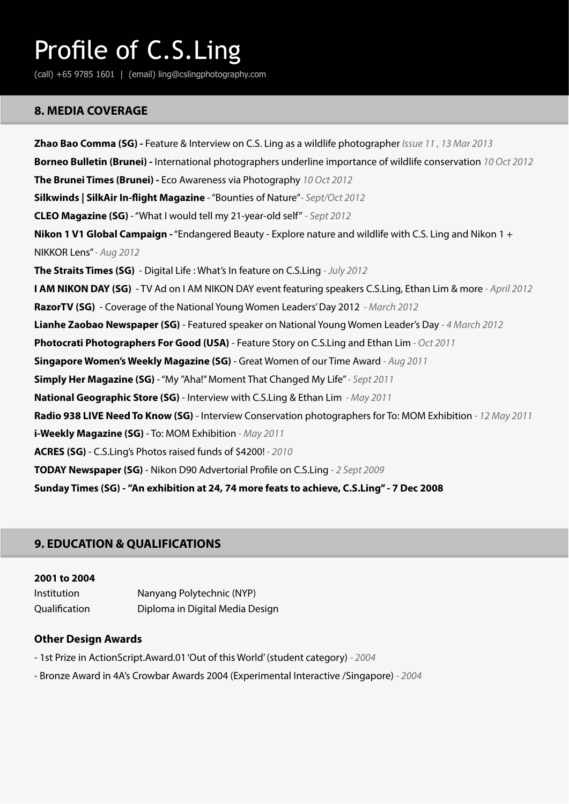(call) +65 9785 1601 | (email) ling@cslingphotography.com

### **8. MEDIA COVERAGE**

**Zhao Bao Comma (SG) -** Feature & Interview on C.S. Ling as a wildlife photographer *Issue 11 , 13 Mar 2013*  **Borneo Bulletin (Brunei) -** International photographers underline importance of wildlife conservation *10 Oct 2012*  **The Brunei Times (Brunei) -** Eco Awareness via Photography *10 Oct 2012* **Silkwinds | SilkAir In-flight Magazine** - "Bounties of Nature"*- Sept/Oct 2012*  **CLEO Magazine (SG)** - "What I would tell my 21-year-old self" *- Sept 2012*  **Nikon 1 V1 Global Campaign -** "Endangered Beauty - Explore nature and wildlife with C.S. Ling and Nikon 1 + NIKKOR Lens" *- Aug 2012*  **The Straits Times (SG)** - Digital Life : What's In feature on C.S.Ling *- July 2012*  **I AM NIKON DAY (SG)** - TV Ad on I AM NIKON DAY event featuring speakers C.S.Ling, Ethan Lim & more *- April 2012*  **RazorTV (SG)** - Coverage of the National Young Women Leaders' Day 2012 *- March 2012* **Lianhe Zaobao Newspaper (SG)** - Featured speaker on National Young Women Leader's Day *- 4 March 2012* **Photocrati Photographers For Good (USA)** - Feature Story on C.S.Ling and Ethan Lim *- Oct 2011*  **Singapore Women's Weekly Magazine (SG)** - Great Women of our Time Award *- Aug 2011* **Simply Her Magazine (SG)** - "My "Aha!" Moment That Changed My Life" *- Sept 2011* **National Geographic Store (SG)** - Interview with C.S.Ling & Ethan Lim *- May 2011* **Radio 938 LIVE Need To Know (SG)** - Interview Conservation photographers for To: MOM Exhibition *- 12 May 2011* **i-Weekly Magazine (SG)** - To: MOM Exhibition *- May 2011* **ACRES (SG)** - C.S.Ling's Photos raised funds of \$4200! *- 2010* **TODAY Newspaper (SG)** - Nikon D90 Advertorial Profile on C.S.Ling *- 2 Sept 2009* **Sunday Times (SG) - "An exhibition at 24, 74 more feats to achieve, C.S.Ling" - 7 Dec 2008**

# **9. EDUCATION & QUALIFICATIONS**

#### **2001 to 2004**

| Institution   | Nanyang Polytechnic (NYP)       |
|---------------|---------------------------------|
| Qualification | Diploma in Digital Media Design |

#### **Other Design Awards**

- 1st Prize in ActionScript.Award.01 'Out of this World' (student category)  *2004*
- Bronze Award in 4A's Crowbar Awards 2004 (Experimental Interactive /Singapore)  *2004*